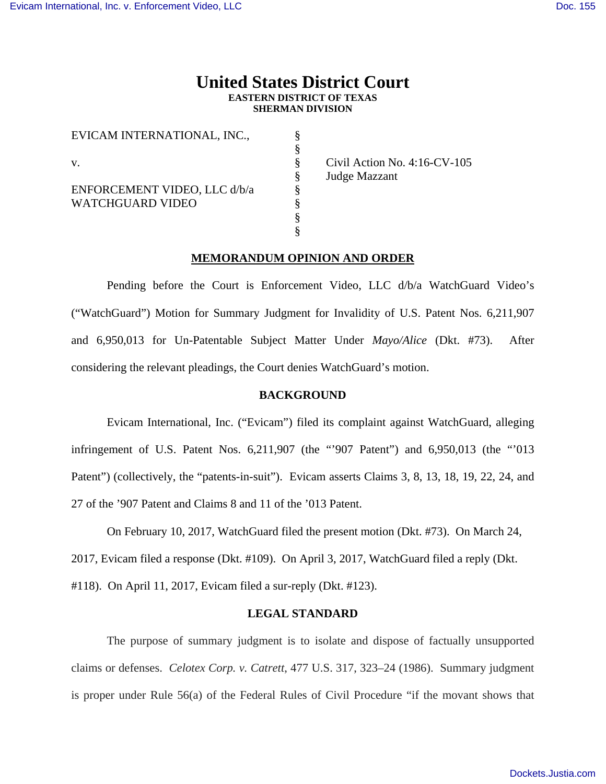# **United States District Court EASTERN DISTRICT OF TEXAS SHERMAN DIVISION**

§ § § § § § § §

EVICAM INTERNATIONAL, INC.,

v.

ENFORCEMENT VIDEO, LLC d/b/a WATCHGUARD VIDEO

 Civil Action No. 4:16-CV-105 Judge Mazzant

### **MEMORANDUM OPINION AND ORDER**

Pending before the Court is Enforcement Video, LLC d/b/a WatchGuard Video's ("WatchGuard") Motion for Summary Judgment for Invalidity of U.S. Patent Nos. 6,211,907 and 6,950,013 for Un-Patentable Subject Matter Under *Mayo/Alice* (Dkt. #73). After considering the relevant pleadings, the Court denies WatchGuard's motion.

### **BACKGROUND**

Evicam International, Inc. ("Evicam") filed its complaint against WatchGuard, alleging infringement of U.S. Patent Nos. 6,211,907 (the "'907 Patent") and 6,950,013 (the "'013 Patent") (collectively, the "patents-in-suit"). Evicam asserts Claims 3, 8, 13, 18, 19, 22, 24, and 27 of the '907 Patent and Claims 8 and 11 of the '013 Patent.

On February 10, 2017, WatchGuard filed the present motion (Dkt. #73). On March 24,

2017, Evicam filed a response (Dkt. #109). On April 3, 2017, WatchGuard filed a reply (Dkt.

#118). On April 11, 2017, Evicam filed a sur-reply (Dkt. #123).

#### **LEGAL STANDARD**

The purpose of summary judgment is to isolate and dispose of factually unsupported claims or defenses. *Celotex Corp. v. Catrett*, 477 U.S. 317, 323–24 (1986). Summary judgment is proper under Rule 56(a) of the Federal Rules of Civil Procedure "if the movant shows that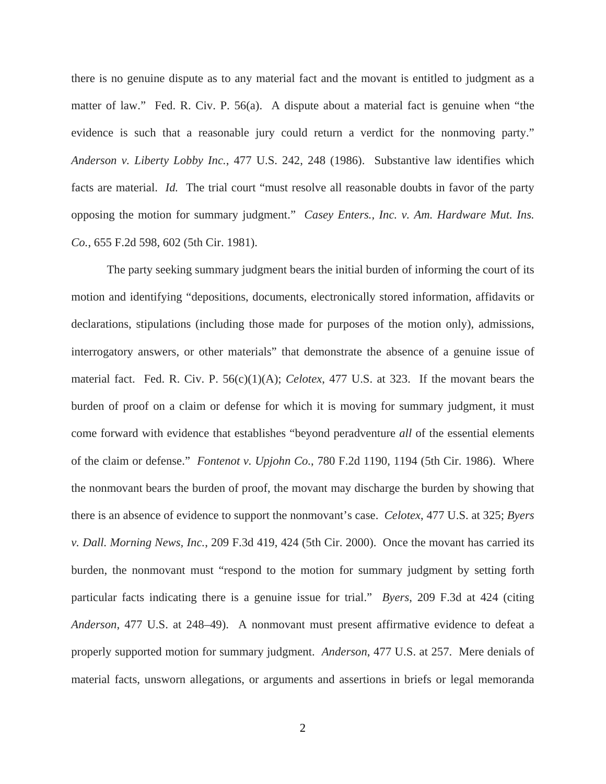there is no genuine dispute as to any material fact and the movant is entitled to judgment as a matter of law." Fed. R. Civ. P. 56(a). A dispute about a material fact is genuine when "the evidence is such that a reasonable jury could return a verdict for the nonmoving party." *Anderson v. Liberty Lobby Inc.*, 477 U.S. 242, 248 (1986). Substantive law identifies which facts are material. *Id.* The trial court "must resolve all reasonable doubts in favor of the party opposing the motion for summary judgment." *Casey Enters., Inc. v. Am. Hardware Mut. Ins. Co.*, 655 F.2d 598, 602 (5th Cir. 1981).

The party seeking summary judgment bears the initial burden of informing the court of its motion and identifying "depositions, documents, electronically stored information, affidavits or declarations, stipulations (including those made for purposes of the motion only), admissions, interrogatory answers, or other materials" that demonstrate the absence of a genuine issue of material fact. Fed. R. Civ. P. 56(c)(1)(A); *Celotex*, 477 U.S. at 323. If the movant bears the burden of proof on a claim or defense for which it is moving for summary judgment, it must come forward with evidence that establishes "beyond peradventure *all* of the essential elements of the claim or defense." *Fontenot v. Upjohn Co.*, 780 F.2d 1190, 1194 (5th Cir. 1986). Where the nonmovant bears the burden of proof, the movant may discharge the burden by showing that there is an absence of evidence to support the nonmovant's case. *Celotex*, 477 U.S. at 325; *Byers v. Dall. Morning News, Inc.*, 209 F.3d 419, 424 (5th Cir. 2000). Once the movant has carried its burden, the nonmovant must "respond to the motion for summary judgment by setting forth particular facts indicating there is a genuine issue for trial." *Byers*, 209 F.3d at 424 (citing *Anderson*, 477 U.S. at 248–49). A nonmovant must present affirmative evidence to defeat a properly supported motion for summary judgment. *Anderson*, 477 U.S. at 257. Mere denials of material facts, unsworn allegations, or arguments and assertions in briefs or legal memoranda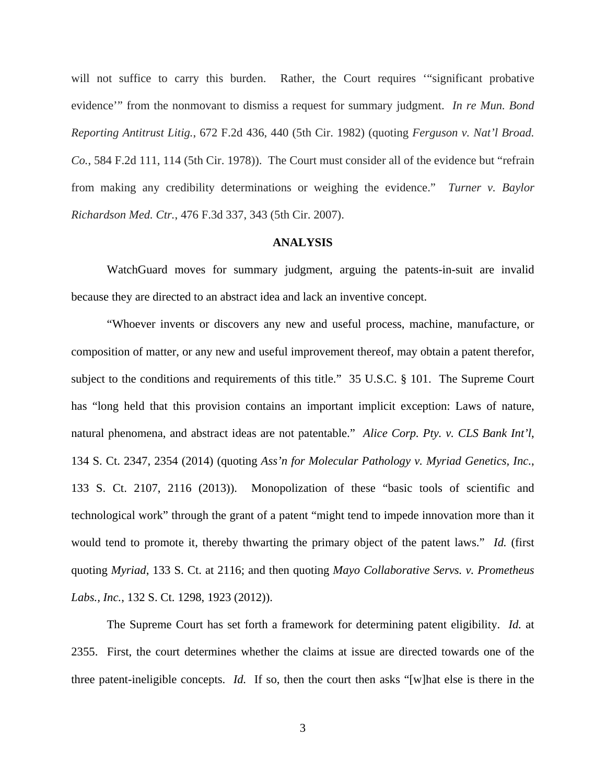will not suffice to carry this burden. Rather, the Court requires "significant probative evidence'" from the nonmovant to dismiss a request for summary judgment. *In re Mun. Bond Reporting Antitrust Litig.*, 672 F.2d 436, 440 (5th Cir. 1982) (quoting *Ferguson v. Nat'l Broad. Co.*, 584 F.2d 111, 114 (5th Cir. 1978)). The Court must consider all of the evidence but "refrain from making any credibility determinations or weighing the evidence." *Turner v. Baylor Richardson Med. Ctr.*, 476 F.3d 337, 343 (5th Cir. 2007).

#### **ANALYSIS**

 WatchGuard moves for summary judgment, arguing the patents-in-suit are invalid because they are directed to an abstract idea and lack an inventive concept.

 "Whoever invents or discovers any new and useful process, machine, manufacture, or composition of matter, or any new and useful improvement thereof, may obtain a patent therefor, subject to the conditions and requirements of this title." 35 U.S.C. § 101. The Supreme Court has "long held that this provision contains an important implicit exception: Laws of nature, natural phenomena, and abstract ideas are not patentable." *Alice Corp. Pty. v. CLS Bank Int'l*, 134 S. Ct. 2347, 2354 (2014) (quoting *Ass'n for Molecular Pathology v. Myriad Genetics, Inc.*, 133 S. Ct. 2107, 2116 (2013)). Monopolization of these "basic tools of scientific and technological work" through the grant of a patent "might tend to impede innovation more than it would tend to promote it, thereby thwarting the primary object of the patent laws." *Id.* (first quoting *Myriad*, 133 S. Ct. at 2116; and then quoting *Mayo Collaborative Servs. v. Prometheus Labs., Inc.*, 132 S. Ct. 1298, 1923 (2012)).

 The Supreme Court has set forth a framework for determining patent eligibility. *Id.* at 2355. First, the court determines whether the claims at issue are directed towards one of the three patent-ineligible concepts. *Id.* If so, then the court then asks "[w]hat else is there in the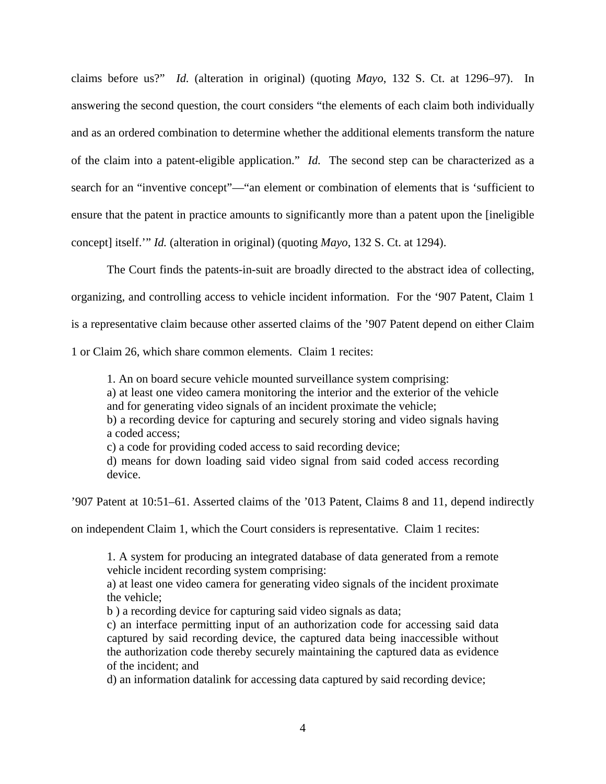claims before us?" *Id.* (alteration in original) (quoting *Mayo*, 132 S. Ct. at 1296–97). In answering the second question, the court considers "the elements of each claim both individually and as an ordered combination to determine whether the additional elements transform the nature of the claim into a patent-eligible application." *Id.* The second step can be characterized as a search for an "inventive concept"—"an element or combination of elements that is 'sufficient to ensure that the patent in practice amounts to significantly more than a patent upon the [ineligible concept] itself.'" *Id.* (alteration in original) (quoting *Mayo*, 132 S. Ct. at 1294).

The Court finds the patents-in-suit are broadly directed to the abstract idea of collecting, organizing, and controlling access to vehicle incident information. For the '907 Patent, Claim 1 is a representative claim because other asserted claims of the '907 Patent depend on either Claim 1 or Claim 26, which share common elements. Claim 1 recites:

1. An on board secure vehicle mounted surveillance system comprising:

a) at least one video camera monitoring the interior and the exterior of the vehicle and for generating video signals of an incident proximate the vehicle;

b) a recording device for capturing and securely storing and video signals having a coded access;

c) a code for providing coded access to said recording device;

d) means for down loading said video signal from said coded access recording device.

'907 Patent at 10:51–61. Asserted claims of the '013 Patent, Claims 8 and 11, depend indirectly

on independent Claim 1, which the Court considers is representative. Claim 1 recites:

1. A system for producing an integrated database of data generated from a remote vehicle incident recording system comprising:

a) at least one video camera for generating video signals of the incident proximate the vehicle;

b ) a recording device for capturing said video signals as data;

c) an interface permitting input of an authorization code for accessing said data captured by said recording device, the captured data being inaccessible without the authorization code thereby securely maintaining the captured data as evidence of the incident; and

d) an information datalink for accessing data captured by said recording device;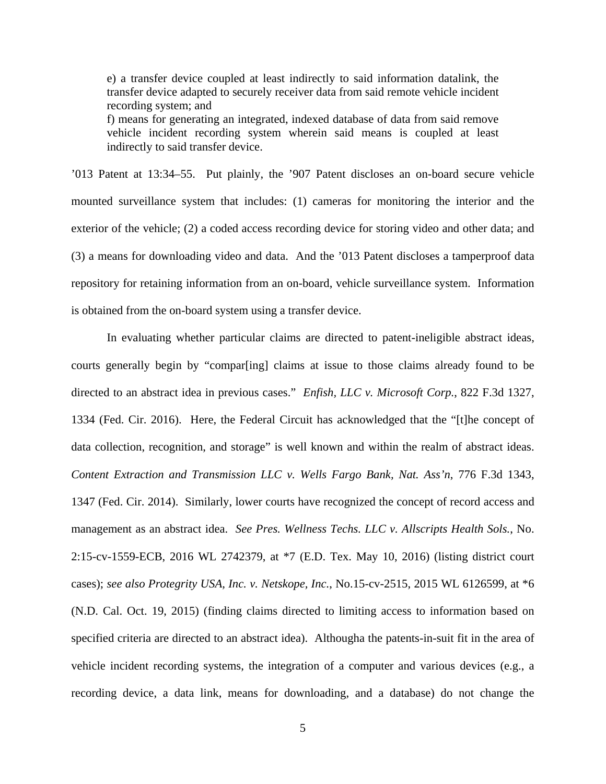e) a transfer device coupled at least indirectly to said information datalink, the transfer device adapted to securely receiver data from said remote vehicle incident recording system; and

f) means for generating an integrated, indexed database of data from said remove vehicle incident recording system wherein said means is coupled at least indirectly to said transfer device.

'013 Patent at 13:34–55. Put plainly, the '907 Patent discloses an on-board secure vehicle mounted surveillance system that includes: (1) cameras for monitoring the interior and the exterior of the vehicle; (2) a coded access recording device for storing video and other data; and (3) a means for downloading video and data. And the '013 Patent discloses a tamperproof data repository for retaining information from an on-board, vehicle surveillance system. Information is obtained from the on-board system using a transfer device.

 In evaluating whether particular claims are directed to patent-ineligible abstract ideas, courts generally begin by "compar[ing] claims at issue to those claims already found to be directed to an abstract idea in previous cases." *Enfish, LLC v. Microsoft Corp.*, 822 F.3d 1327, 1334 (Fed. Cir. 2016). Here, the Federal Circuit has acknowledged that the "[t]he concept of data collection, recognition, and storage" is well known and within the realm of abstract ideas. *Content Extraction and Transmission LLC v. Wells Fargo Bank, Nat. Ass'n*, 776 F.3d 1343, 1347 (Fed. Cir. 2014). Similarly, lower courts have recognized the concept of record access and management as an abstract idea. *See Pres. Wellness Techs. LLC v. Allscripts Health Sols.*, No. 2:15-cv-1559-ECB, 2016 WL 2742379, at \*7 (E.D. Tex. May 10, 2016) (listing district court cases); *see also Protegrity USA, Inc. v. Netskope, Inc.*, No.15-cv-2515, 2015 WL 6126599, at \*6 (N.D. Cal. Oct. 19, 2015) (finding claims directed to limiting access to information based on specified criteria are directed to an abstract idea). Althougha the patents-in-suit fit in the area of vehicle incident recording systems, the integration of a computer and various devices (e.g., a recording device, a data link, means for downloading, and a database) do not change the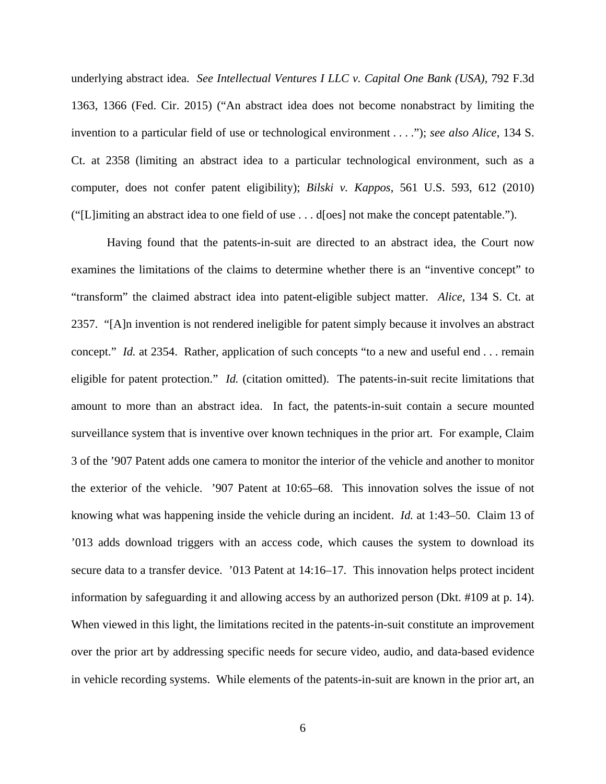underlying abstract idea. *See Intellectual Ventures I LLC v. Capital One Bank (USA)*, 792 F.3d 1363, 1366 (Fed. Cir. 2015) ("An abstract idea does not become nonabstract by limiting the invention to a particular field of use or technological environment . . . ."); *see also Alice*, 134 S. Ct. at 2358 (limiting an abstract idea to a particular technological environment, such as a computer, does not confer patent eligibility); *Bilski v. Kappos*, 561 U.S. 593, 612 (2010) ("[L]imiting an abstract idea to one field of use . . . d[oes] not make the concept patentable.").

Having found that the patents-in-suit are directed to an abstract idea, the Court now examines the limitations of the claims to determine whether there is an "inventive concept" to "transform" the claimed abstract idea into patent-eligible subject matter. *Alice*, 134 S. Ct. at 2357. "[A]n invention is not rendered ineligible for patent simply because it involves an abstract concept." *Id.* at 2354. Rather, application of such concepts "to a new and useful end . . . remain eligible for patent protection." *Id.* (citation omitted). The patents-in-suit recite limitations that amount to more than an abstract idea. In fact, the patents-in-suit contain a secure mounted surveillance system that is inventive over known techniques in the prior art. For example, Claim 3 of the '907 Patent adds one camera to monitor the interior of the vehicle and another to monitor the exterior of the vehicle. '907 Patent at 10:65–68. This innovation solves the issue of not knowing what was happening inside the vehicle during an incident. *Id.* at 1:43–50. Claim 13 of '013 adds download triggers with an access code, which causes the system to download its secure data to a transfer device. '013 Patent at  $14:16-17$ . This innovation helps protect incident information by safeguarding it and allowing access by an authorized person (Dkt. #109 at p. 14). When viewed in this light, the limitations recited in the patents-in-suit constitute an improvement over the prior art by addressing specific needs for secure video, audio, and data-based evidence in vehicle recording systems. While elements of the patents-in-suit are known in the prior art, an